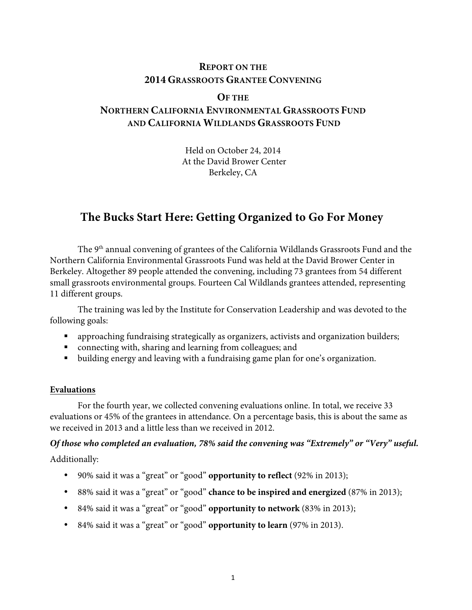# **REPORT ON THE 2014 GRASSROOTS GRANTEE CONVENING**

## **OF THE**

# **NORTHERN CALIFORNIA ENVIRONMENTAL GRASSROOTS FUND AND CALIFORNIA WILDLANDS GRASSROOTS FUND**

Held on October 24, 2014 At the David Brower Center Berkeley, CA

# **The Bucks Start Here: Getting Organized to Go For Money**

The 9<sup>th</sup> annual convening of grantees of the California Wildlands Grassroots Fund and the Northern California Environmental Grassroots Fund was held at the David Brower Center in Berkeley. Altogether 89 people attended the convening, including 73 grantees from 54 different small grassroots environmental groups. Fourteen Cal Wildlands grantees attended, representing 11 different groups.

The training was led by the Institute for Conservation Leadership and was devoted to the following goals:

- approaching fundraising strategically as organizers, activists and organization builders;
- connecting with, sharing and learning from colleagues; and
- building energy and leaving with a fundraising game plan for one's organization.

## **Evaluations**

For the fourth year, we collected convening evaluations online. In total, we receive 33 evaluations or 45% of the grantees in attendance. On a percentage basis, this is about the same as we received in 2013 and a little less than we received in 2012.

*Of those who completed an evaluation, 78% said the convening was "Extremely" or "Very" useful.*  Additionally:

• 90% said it was a "great" or "good" **opportunity to reflect** (92% in 2013);

- 88% said it was a "great" or "good" **chance to be inspired and energized** (87% in 2013);
- 84% said it was a "great" or "good" **opportunity to network** (83% in 2013);
- 84% said it was a "great" or "good" **opportunity to learn** (97% in 2013).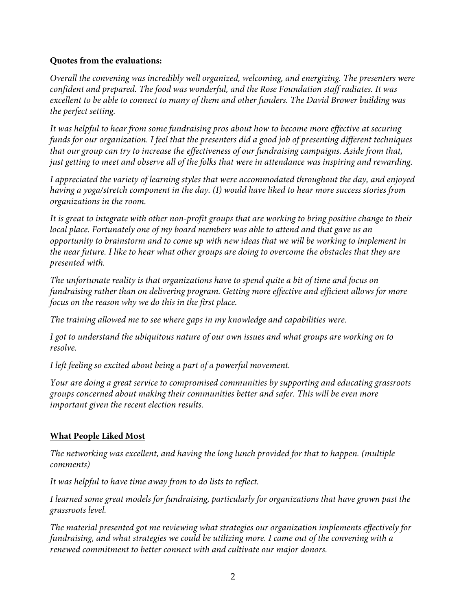# **Quotes from the evaluations:**

*Overall the convening was incredibly well organized, welcoming, and energizing. The presenters were confident and prepared. The food was wonderful, and the Rose Foundation staff radiates. It was excellent to be able to connect to many of them and other funders. The David Brower building was the perfect setting.*

*It was helpful to hear from some fundraising pros about how to become more effective at securing funds for our organization. I feel that the presenters did a good job of presenting different techniques that our group can try to increase the effectiveness of our fundraising campaigns. Aside from that, just getting to meet and observe all of the folks that were in attendance was inspiring and rewarding.*

*I appreciated the variety of learning styles that were accommodated throughout the day, and enjoyed having a yoga/stretch component in the day. (I) would have liked to hear more success stories from organizations in the room.*

*It is great to integrate with other non-profit groups that are working to bring positive change to their local place. Fortunately one of my board members was able to attend and that gave us an opportunity to brainstorm and to come up with new ideas that we will be working to implement in the near future. I like to hear what other groups are doing to overcome the obstacles that they are presented with.*

*The unfortunate reality is that organizations have to spend quite a bit of time and focus on fundraising rather than on delivering program. Getting more effective and efficient allows for more focus on the reason why we do this in the first place.*

*The training allowed me to see where gaps in my knowledge and capabilities were.*

*I got to understand the ubiquitous nature of our own issues and what groups are working on to resolve.*

*I left feeling so excited about being a part of a powerful movement.*

*Your are doing a great service to compromised communities by supporting and educating grassroots groups concerned about making their communities better and safer. This will be even more important given the recent election results.*

# **What People Liked Most**

*The networking was excellent, and having the long lunch provided for that to happen. (multiple comments)*

*It was helpful to have time away from to do lists to reflect.*

*I learned some great models for fundraising, particularly for organizations that have grown past the grassroots level.*

*The material presented got me reviewing what strategies our organization implements effectively for fundraising, and what strategies we could be utilizing more. I came out of the convening with a renewed commitment to better connect with and cultivate our major donors.*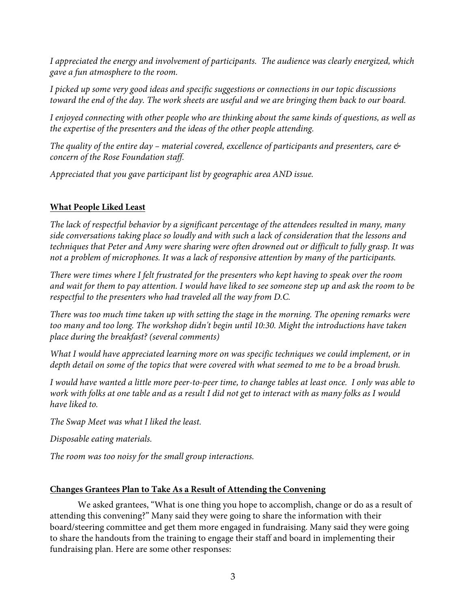*I appreciated the energy and involvement of participants. The audience was clearly energized, which gave a fun atmosphere to the room.*

*I picked up some very good ideas and specific suggestions or connections in our topic discussions toward the end of the day. The work sheets are useful and we are bringing them back to our board.*

*I enjoyed connecting with other people who are thinking about the same kinds of questions, as well as the expertise of the presenters and the ideas of the other people attending.*

*The quality of the entire day – material covered, excellence of participants and presenters, care & concern of the Rose Foundation staff.*

*Appreciated that you gave participant list by geographic area AND issue.*

# **What People Liked Least**

*The lack of respectful behavior by a significant percentage of the attendees resulted in many, many side conversations taking place so loudly and with such a lack of consideration that the lessons and techniques that Peter and Amy were sharing were often drowned out or difficult to fully grasp. It was not a problem of microphones. It was a lack of responsive attention by many of the participants.*

*There were times where I felt frustrated for the presenters who kept having to speak over the room and wait for them to pay attention. I would have liked to see someone step up and ask the room to be respectful to the presenters who had traveled all the way from D.C.*

*There was too much time taken up with setting the stage in the morning. The opening remarks were too many and too long. The workshop didn't begin until 10:30. Might the introductions have taken place during the breakfast? (several comments)*

*What I would have appreciated learning more on was specific techniques we could implement, or in depth detail on some of the topics that were covered with what seemed to me to be a broad brush.*

*I would have wanted a little more peer-to-peer time, to change tables at least once. I only was able to work with folks at one table and as a result I did not get to interact with as many folks as I would have liked to.* 

*The Swap Meet was what I liked the least.*

*Disposable eating materials.*

*The room was too noisy for the small group interactions.*

# **Changes Grantees Plan to Take As a Result of Attending the Convening**

We asked grantees, "What is one thing you hope to accomplish, change or do as a result of attending this convening?" Many said they were going to share the information with their board/steering committee and get them more engaged in fundraising. Many said they were going to share the handouts from the training to engage their staff and board in implementing their fundraising plan. Here are some other responses: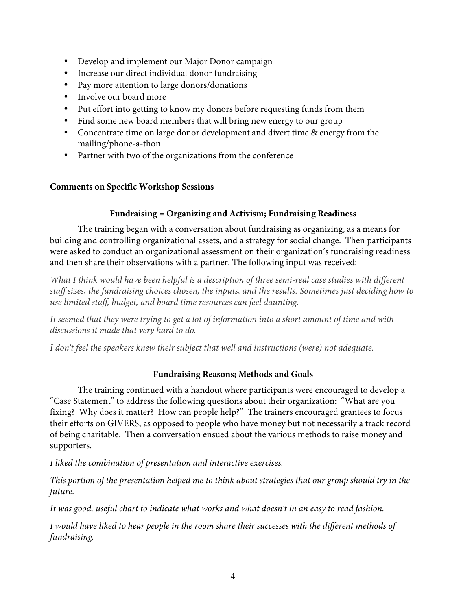- Develop and implement our Major Donor campaign
- Increase our direct individual donor fundraising
- Pay more attention to large donors/donations
- Involve our board more
- Put effort into getting to know my donors before requesting funds from them
- Find some new board members that will bring new energy to our group
- Concentrate time on large donor development and divert time & energy from the mailing/phone-a-thon
- Partner with two of the organizations from the conference

# **Comments on Specific Workshop Sessions**

# **Fundraising = Organizing and Activism; Fundraising Readiness**

The training began with a conversation about fundraising as organizing, as a means for building and controlling organizational assets, and a strategy for social change. Then participants were asked to conduct an organizational assessment on their organization's fundraising readiness and then share their observations with a partner. The following input was received:

*What I think would have been helpful is a description of three semi-real case studies with different staff sizes, the fundraising choices chosen, the inputs, and the results. Sometimes just deciding how to use limited staff, budget, and board time resources can feel daunting.*

*It seemed that they were trying to get a lot of information into a short amount of time and with discussions it made that very hard to do.*

*I don't feel the speakers knew their subject that well and instructions (were) not adequate.*

# **Fundraising Reasons; Methods and Goals**

The training continued with a handout where participants were encouraged to develop a "Case Statement" to address the following questions about their organization: "What are you fixing? Why does it matter? How can people help?" The trainers encouraged grantees to focus their efforts on GIVERS, as opposed to people who have money but not necessarily a track record of being charitable. Then a conversation ensued about the various methods to raise money and supporters.

*I liked the combination of presentation and interactive exercises.*

*This portion of the presentation helped me to think about strategies that our group should try in the future.*

*It was good, useful chart to indicate what works and what doesn't in an easy to read fashion.*

*I would have liked to hear people in the room share their successes with the different methods of fundraising.*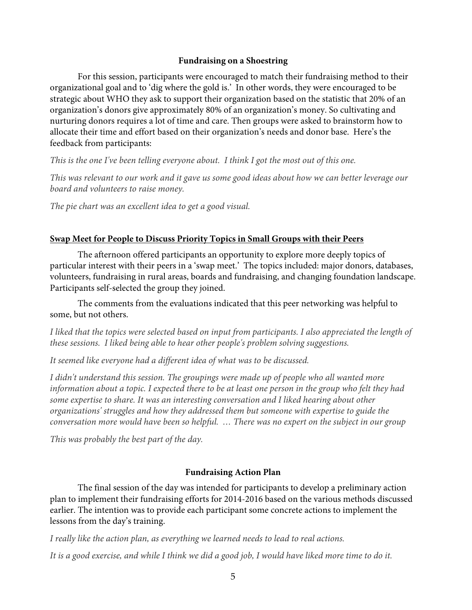### **Fundraising on a Shoestring**

For this session, participants were encouraged to match their fundraising method to their organizational goal and to 'dig where the gold is.' In other words, they were encouraged to be strategic about WHO they ask to support their organization based on the statistic that 20% of an organization's donors give approximately 80% of an organization's money. So cultivating and nurturing donors requires a lot of time and care. Then groups were asked to brainstorm how to allocate their time and effort based on their organization's needs and donor base. Here's the feedback from participants:

*This is the one I've been telling everyone about. I think I got the most out of this one.*

*This was relevant to our work and it gave us some good ideas about how we can better leverage our board and volunteers to raise money.*

*The pie chart was an excellent idea to get a good visual.*

## **Swap Meet for People to Discuss Priority Topics in Small Groups with their Peers**

The afternoon offered participants an opportunity to explore more deeply topics of particular interest with their peers in a 'swap meet.' The topics included: major donors, databases, volunteers, fundraising in rural areas, boards and fundraising, and changing foundation landscape. Participants self-selected the group they joined.

The comments from the evaluations indicated that this peer networking was helpful to some, but not others.

*I liked that the topics were selected based on input from participants. I also appreciated the length of these sessions. I liked being able to hear other people's problem solving suggestions.*

*It seemed like everyone had a different idea of what was to be discussed.*

*I didn't understand this session. The groupings were made up of people who all wanted more information about a topic. I expected there to be at least one person in the group who felt they had some expertise to share. It was an interesting conversation and I liked hearing about other organizations' struggles and how they addressed them but someone with expertise to guide the conversation more would have been so helpful. … There was no expert on the subject in our group*

*This was probably the best part of the day.*

# **Fundraising Action Plan**

The final session of the day was intended for participants to develop a preliminary action plan to implement their fundraising efforts for 2014-2016 based on the various methods discussed earlier. The intention was to provide each participant some concrete actions to implement the lessons from the day's training.

*I really like the action plan, as everything we learned needs to lead to real actions.*

*It is a good exercise, and while I think we did a good job, I would have liked more time to do it.*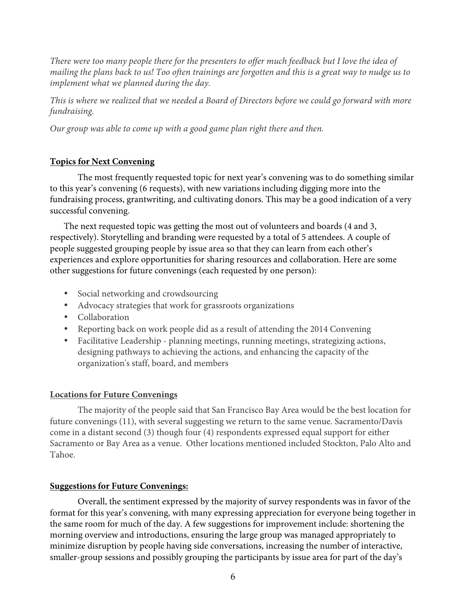*There were too many people there for the presenters to offer much feedback but I love the idea of mailing the plans back to us! Too often trainings are forgotten and this is a great way to nudge us to implement what we planned during the day.*

*This is where we realized that we needed a Board of Directors before we could go forward with more fundraising.*

*Our group was able to come up with a good game plan right there and then.*

## **Topics for Next Convening**

The most frequently requested topic for next year's convening was to do something similar to this year's convening (6 requests), with new variations including digging more into the fundraising process, grantwriting, and cultivating donors. This may be a good indication of a very successful convening.

The next requested topic was getting the most out of volunteers and boards (4 and 3, respectively). Storytelling and branding were requested by a total of 5 attendees. A couple of people suggested grouping people by issue area so that they can learn from each other's experiences and explore opportunities for sharing resources and collaboration. Here are some other suggestions for future convenings (each requested by one person):

- Social networking and crowdsourcing
- Advocacy strategies that work for grassroots organizations
- Collaboration
- Reporting back on work people did as a result of attending the 2014 Convening
- Facilitative Leadership planning meetings, running meetings, strategizing actions, designing pathways to achieving the actions, and enhancing the capacity of the organization's staff, board, and members

## **Locations for Future Convenings**

The majority of the people said that San Francisco Bay Area would be the best location for future convenings (11), with several suggesting we return to the same venue. Sacramento/Davis come in a distant second (3) though four (4) respondents expressed equal support for either Sacramento or Bay Area as a venue. Other locations mentioned included Stockton, Palo Alto and Tahoe.

## **Suggestions for Future Convenings:**

Overall, the sentiment expressed by the majority of survey respondents was in favor of the format for this year's convening, with many expressing appreciation for everyone being together in the same room for much of the day. A few suggestions for improvement include: shortening the morning overview and introductions, ensuring the large group was managed appropriately to minimize disruption by people having side conversations, increasing the number of interactive, smaller-group sessions and possibly grouping the participants by issue area for part of the day's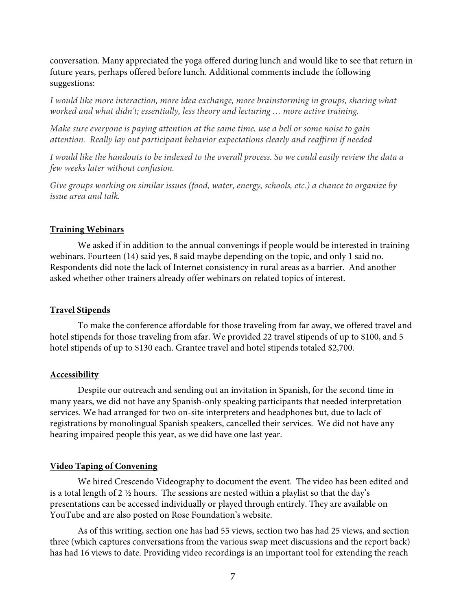conversation. Many appreciated the yoga offered during lunch and would like to see that return in future years, perhaps offered before lunch. Additional comments include the following suggestions:

*I would like more interaction, more idea exchange, more brainstorming in groups, sharing what worked and what didn't; essentially, less theory and lecturing … more active training.*

*Make sure everyone is paying attention at the same time, use a bell or some noise to gain attention. Really lay out participant behavior expectations clearly and reaffirm if needed*

*I would like the handouts to be indexed to the overall process. So we could easily review the data a few weeks later without confusion.*

*Give groups working on similar issues (food, water, energy, schools, etc.) a chance to organize by issue area and talk.*

## **Training Webinars**

We asked if in addition to the annual convenings if people would be interested in training webinars. Fourteen (14) said yes, 8 said maybe depending on the topic, and only 1 said no. Respondents did note the lack of Internet consistency in rural areas as a barrier. And another asked whether other trainers already offer webinars on related topics of interest.

### **Travel Stipends**

To make the conference affordable for those traveling from far away, we offered travel and hotel stipends for those traveling from afar. We provided 22 travel stipends of up to \$100, and 5 hotel stipends of up to \$130 each. Grantee travel and hotel stipends totaled \$2,700.

### **Accessibility**

Despite our outreach and sending out an invitation in Spanish, for the second time in many years, we did not have any Spanish-only speaking participants that needed interpretation services. We had arranged for two on-site interpreters and headphones but, due to lack of registrations by monolingual Spanish speakers, cancelled their services. We did not have any hearing impaired people this year, as we did have one last year.

### **Video Taping of Convening**

We hired Crescendo Videography to document the event. The video has been edited and is a total length of 2  $\frac{1}{2}$  hours. The sessions are nested within a playlist so that the day's presentations can be accessed individually or played through entirely. They are available on YouTube and are also posted on Rose Foundation's website.

As of this writing, section one has had 55 views, section two has had 25 views, and section three (which captures conversations from the various swap meet discussions and the report back) has had 16 views to date. Providing video recordings is an important tool for extending the reach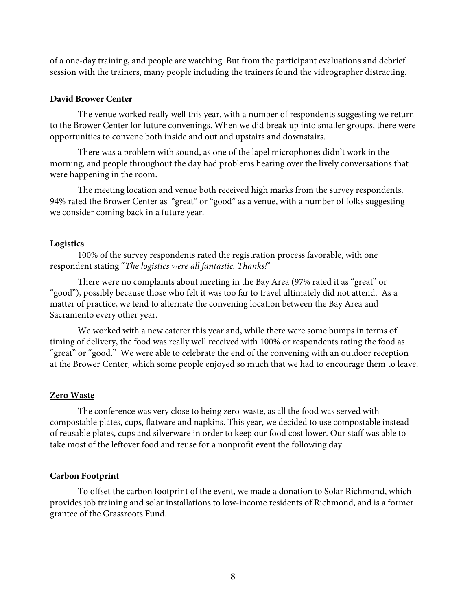of a one-day training, and people are watching. But from the participant evaluations and debrief session with the trainers, many people including the trainers found the videographer distracting.

## **David Brower Center**

The venue worked really well this year, with a number of respondents suggesting we return to the Brower Center for future convenings. When we did break up into smaller groups, there were opportunities to convene both inside and out and upstairs and downstairs.

There was a problem with sound, as one of the lapel microphones didn't work in the morning, and people throughout the day had problems hearing over the lively conversations that were happening in the room.

The meeting location and venue both received high marks from the survey respondents. 94% rated the Brower Center as "great" or "good" as a venue, with a number of folks suggesting we consider coming back in a future year.

## **Logistics**

100% of the survey respondents rated the registration process favorable, with one respondent stating "*The logistics were all fantastic. Thanks!*"

There were no complaints about meeting in the Bay Area (97% rated it as "great" or "good"), possibly because those who felt it was too far to travel ultimately did not attend. As a matter of practice, we tend to alternate the convening location between the Bay Area and Sacramento every other year.

We worked with a new caterer this year and, while there were some bumps in terms of timing of delivery, the food was really well received with 100% or respondents rating the food as "great" or "good." We were able to celebrate the end of the convening with an outdoor reception at the Brower Center, which some people enjoyed so much that we had to encourage them to leave.

# **Zero Waste**

The conference was very close to being zero-waste, as all the food was served with compostable plates, cups, flatware and napkins. This year, we decided to use compostable instead of reusable plates, cups and silverware in order to keep our food cost lower. Our staff was able to take most of the leftover food and reuse for a nonprofit event the following day.

# **Carbon Footprint**

To offset the carbon footprint of the event, we made a donation to Solar Richmond, which provides job training and solar installations to low-income residents of Richmond, and is a former grantee of the Grassroots Fund.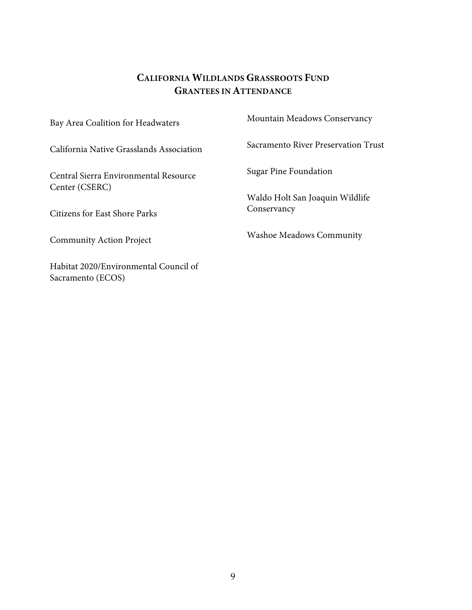# **CALIFORNIA WILDLANDS GRASSROOTS FUND GRANTEES IN ATTENDANCE**

| Bay Area Coalition for Headwaters                          | Mountain Meadows Conservancy                   |
|------------------------------------------------------------|------------------------------------------------|
| California Native Grasslands Association                   | Sacramento River Preservation Trust            |
| Central Sierra Environmental Resource                      | <b>Sugar Pine Foundation</b>                   |
| Center (CSERC)<br><b>Citizens for East Shore Parks</b>     | Waldo Holt San Joaquin Wildlife<br>Conservancy |
| <b>Community Action Project</b>                            | <b>Washoe Meadows Community</b>                |
| Habitat 2020/Environmental Council of<br>Sacramento (ECOS) |                                                |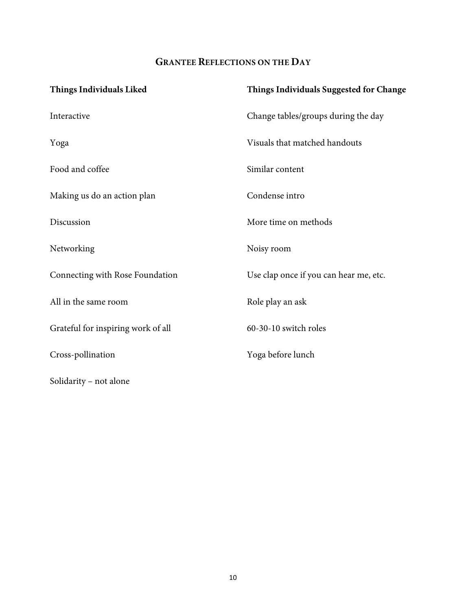# **GRANTEE REFLECTIONS ON THE DAY**

| <b>Things Individuals Liked</b>    | Things Individuals Suggested for Change |
|------------------------------------|-----------------------------------------|
| Interactive                        | Change tables/groups during the day     |
| Yoga                               | Visuals that matched handouts           |
| Food and coffee                    | Similar content                         |
| Making us do an action plan        | Condense intro                          |
| Discussion                         | More time on methods                    |
| Networking                         | Noisy room                              |
| Connecting with Rose Foundation    | Use clap once if you can hear me, etc.  |
| All in the same room               | Role play an ask                        |
| Grateful for inspiring work of all | 60-30-10 switch roles                   |
| Cross-pollination                  | Yoga before lunch                       |
| Solidarity - not alone             |                                         |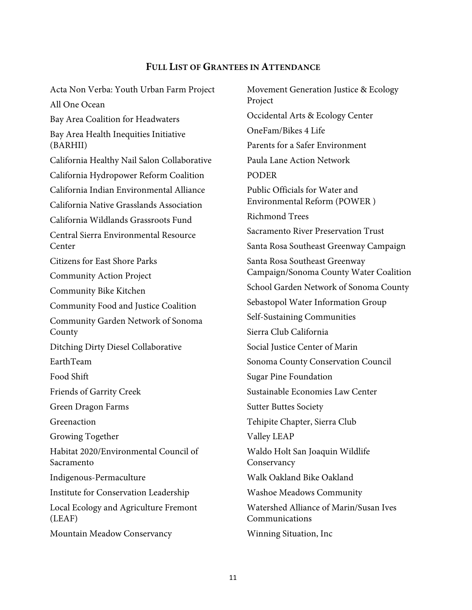# **FULL LIST OF GRANTEES IN ATTENDANCE**

Acta Non Verba: Youth Urban Farm Project All One Ocean Bay Area Coalition for Headwaters Bay Area Health Inequities Initiative (BARHII) California Healthy Nail Salon Collaborative California Hydropower Reform Coalition California Indian Environmental Alliance California Native Grasslands Association California Wildlands Grassroots Fund Central Sierra Environmental Resource Center Citizens for East Shore Parks Community Action Project Community Bike Kitchen Community Food and Justice Coalition Community Garden Network of Sonoma County Ditching Dirty Diesel Collaborative EarthTeam Food Shift Friends of Garrity Creek Green Dragon Farms Greenaction Growing Together Habitat 2020/Environmental Council of Sacramento Indigenous-Permaculture Institute for Conservation Leadership Local Ecology and Agriculture Fremont (LEAF) Mountain Meadow Conservancy

Movement Generation Justice & Ecology Project Occidental Arts & Ecology Center OneFam/Bikes 4 Life Parents for a Safer Environment Paula Lane Action Network PODER Public Officials for Water and Environmental Reform (POWER ) Richmond Trees Sacramento River Preservation Trust Santa Rosa Southeast Greenway Campaign Santa Rosa Southeast Greenway Campaign/Sonoma County Water Coalition School Garden Network of Sonoma County Sebastopol Water Information Group Self-Sustaining Communities Sierra Club California Social Justice Center of Marin Sonoma County Conservation Council Sugar Pine Foundation Sustainable Economies Law Center Sutter Buttes Society Tehipite Chapter, Sierra Club Valley LEAP Waldo Holt San Joaquin Wildlife **Conservancy** Walk Oakland Bike Oakland Washoe Meadows Community Watershed Alliance of Marin/Susan Ives Communications Winning Situation, Inc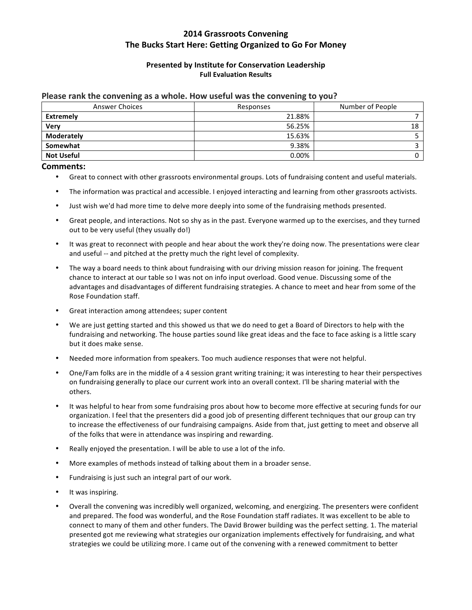# **2014 Grassroots Convening** The Bucks Start Here: Getting Organized to Go For Money

### **Presented by Institute for Conservation Leadership Full Evaluation Results**

#### Please rank the convening as a whole. How useful was the convening to you?

| <b>Answer Choices</b> | Responses | Number of People |
|-----------------------|-----------|------------------|
| Extremely             | 21.88%    |                  |
| <b>Very</b>           | 56.25%    | 18               |
| <b>Moderately</b>     | 15.63%    |                  |
| Somewhat              | 9.38%     |                  |
| <b>Not Useful</b>     | 0.00%     |                  |

#### **Comments:**

- Great to connect with other grassroots environmental groups. Lots of fundraising content and useful materials.
- The information was practical and accessible. I enjoyed interacting and learning from other grassroots activists.
- Just wish we'd had more time to delve more deeply into some of the fundraising methods presented.
- Great people, and interactions. Not so shy as in the past. Everyone warmed up to the exercises, and they turned out to be very useful (they usually do!)
- It was great to reconnect with people and hear about the work they're doing now. The presentations were clear and useful -- and pitched at the pretty much the right level of complexity.
- The way a board needs to think about fundraising with our driving mission reason for joining. The frequent chance to interact at our table so I was not on info input overload. Good venue. Discussing some of the advantages and disadvantages of different fundraising strategies. A chance to meet and hear from some of the Rose Foundation staff.
- Great interaction among attendees; super content
- We are just getting started and this showed us that we do need to get a Board of Directors to help with the fundraising and networking. The house parties sound like great ideas and the face to face asking is a little scary but it does make sense.
- Needed more information from speakers. Too much audience responses that were not helpful.
- One/Fam folks are in the middle of a 4 session grant writing training; it was interesting to hear their perspectives on fundraising generally to place our current work into an overall context. I'll be sharing material with the others.
- It was helpful to hear from some fundraising pros about how to become more effective at securing funds for our organization. I feel that the presenters did a good job of presenting different techniques that our group can try to increase the effectiveness of our fundraising campaigns. Aside from that, just getting to meet and observe all of the folks that were in attendance was inspiring and rewarding.
- Really enjoyed the presentation. I will be able to use a lot of the info.
- More examples of methods instead of talking about them in a broader sense.
- Fundraising is just such an integral part of our work.
- It was inspiring.
- Overall the convening was incredibly well organized, welcoming, and energizing. The presenters were confident and prepared. The food was wonderful, and the Rose Foundation staff radiates. It was excellent to be able to connect to many of them and other funders. The David Brower building was the perfect setting. 1. The material presented got me reviewing what strategies our organization implements effectively for fundraising, and what strategies we could be utilizing more. I came out of the convening with a renewed commitment to better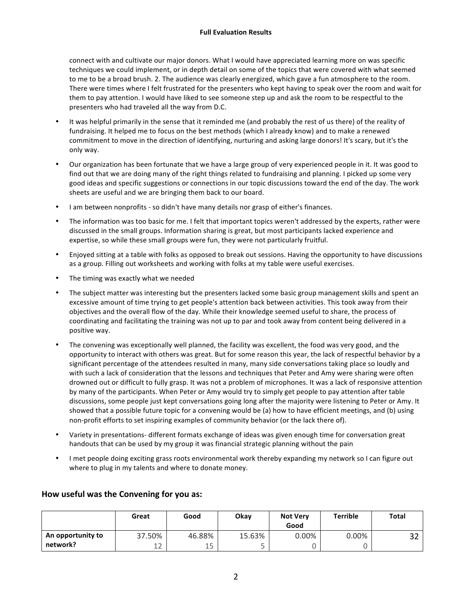#### **Full Evaluation Results**

connect with and cultivate our major donors. What I would have appreciated learning more on was specific techniques we could implement, or in depth detail on some of the topics that were covered with what seemed to me to be a broad brush. 2. The audience was clearly energized, which gave a fun atmosphere to the room. There were times where I felt frustrated for the presenters who kept having to speak over the room and wait for them to pay attention. I would have liked to see someone step up and ask the room to be respectful to the presenters who had traveled all the way from D.C.

- It was helpful primarily in the sense that it reminded me (and probably the rest of us there) of the reality of fundraising. It helped me to focus on the best methods (which I already know) and to make a renewed commitment to move in the direction of identifying, nurturing and asking large donors! It's scary, but it's the only way.
- Our organization has been fortunate that we have a large group of very experienced people in it. It was good to find out that we are doing many of the right things related to fundraising and planning. I picked up some very good ideas and specific suggestions or connections in our topic discussions toward the end of the day. The work sheets are useful and we are bringing them back to our board.
- I am between nonprofits so didn't have many details nor grasp of either's finances.
- The information was too basic for me. I felt that important topics weren't addressed by the experts, rather were discussed in the small groups. Information sharing is great, but most participants lacked experience and expertise, so while these small groups were fun, they were not particularly fruitful.
- Enjoyed sitting at a table with folks as opposed to break out sessions. Having the opportunity to have discussions as a group. Filling out worksheets and working with folks at my table were useful exercises.
- The timing was exactly what we needed
- The subject matter was interesting but the presenters lacked some basic group management skills and spent an excessive amount of time trying to get people's attention back between activities. This took away from their objectives and the overall flow of the day. While their knowledge seemed useful to share, the process of coordinating and facilitating the training was not up to par and took away from content being delivered in a positive way.
- The convening was exceptionally well planned, the facility was excellent, the food was very good, and the opportunity to interact with others was great. But for some reason this year, the lack of respectful behavior by a significant percentage of the attendees resulted in many, many side conversations taking place so loudly and with such a lack of consideration that the lessons and techniques that Peter and Amy were sharing were often drowned out or difficult to fully grasp. It was not a problem of microphones. It was a lack of responsive attention by many of the participants. When Peter or Amy would try to simply get people to pay attention after table discussions, some people just kept conversations going long after the majority were listening to Peter or Amy. It showed that a possible future topic for a convening would be (a) how to have efficient meetings, and (b) using non-profit efforts to set inspiring examples of community behavior (or the lack there of).
- Variety in presentations- different formats exchange of ideas was given enough time for conversation great handouts that can be used by my group it was financial strategic planning without the pain
- I met people doing exciting grass roots environmental work thereby expanding my network so I can figure out where to plug in my talents and where to donate money.

|                   | Great  | Good   | Okay   | <b>Not Very</b><br>Good | <b>Terrible</b> | <b>Total</b> |
|-------------------|--------|--------|--------|-------------------------|-----------------|--------------|
| An opportunity to | 37.50% | 46.88% | 15.63% | $0.00\%$                | $0.00\%$        | ົ<br>ے د     |
| network?          | 12     | 15     | ـ      |                         |                 |              |

### How useful was the Convening for you as: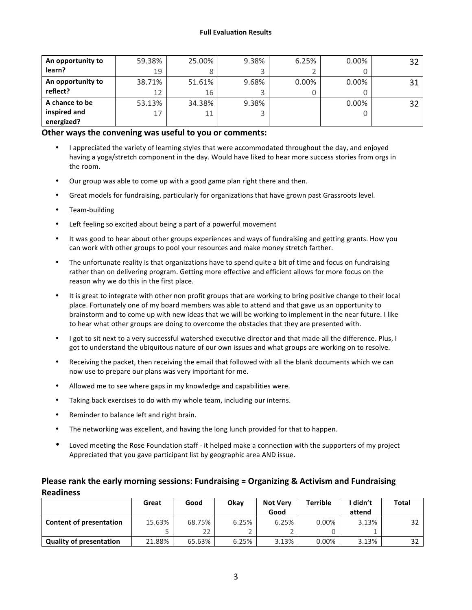| An opportunity to | 59.38% | 25.00% | 9.38% | 6.25%    | $0.00\%$ | 32 |
|-------------------|--------|--------|-------|----------|----------|----|
| learn?            | 19     |        |       |          |          |    |
| An opportunity to | 38.71% | 51.61% | 9.68% | $0.00\%$ | $0.00\%$ | 31 |
| reflect?          | 12     | 16     |       |          |          |    |
| A chance to be    | 53.13% | 34.38% | 9.38% |          | $0.00\%$ | 32 |
| inspired and      | 17     | 11     |       |          |          |    |
| energized?        |        |        |       |          |          |    |

### **Other ways the convening was useful to you or comments:**

- I appreciated the variety of learning styles that were accommodated throughout the day, and enjoyed having a yoga/stretch component in the day. Would have liked to hear more success stories from orgs in the room.
- Our group was able to come up with a good game plan right there and then.
- Great models for fundraising, particularly for organizations that have grown past Grassroots level.
- Team-building
- Left feeling so excited about being a part of a powerful movement
- It was good to hear about other groups experiences and ways of fundraising and getting grants. How you can work with other groups to pool your resources and make money stretch farther.
- The unfortunate reality is that organizations have to spend quite a bit of time and focus on fundraising rather than on delivering program. Getting more effective and efficient allows for more focus on the reason why we do this in the first place.
- It is great to integrate with other non profit groups that are working to bring positive change to their local place. Fortunately one of my board members was able to attend and that gave us an opportunity to brainstorm and to come up with new ideas that we will be working to implement in the near future. I like to hear what other groups are doing to overcome the obstacles that they are presented with.
- I got to sit next to a very successful watershed executive director and that made all the difference. Plus, I got to understand the ubiquitous nature of our own issues and what groups are working on to resolve.
- Receiving the packet, then receiving the email that followed with all the blank documents which we can now use to prepare our plans was very important for me.
- Allowed me to see where gaps in my knowledge and capabilities were.
- Taking back exercises to do with my whole team, including our interns.
- Reminder to balance left and right brain.
- The networking was excellent, and having the long lunch provided for that to happen.
- Loved meeting the Rose Foundation staff it helped make a connection with the supporters of my project Appreciated that you gave participant list by geographic area AND issue.

## **Please rank the early morning sessions: Fundraising = Organizing & Activism and Fundraising Readiness**

|                                | Great  | Good   | Okav  | <b>Not Verv</b> | Terrible | didn't | Total |
|--------------------------------|--------|--------|-------|-----------------|----------|--------|-------|
|                                |        |        |       | Good            |          | attend |       |
| <b>Content of presentation</b> | 15.63% | 68.75% | 6.25% | 6.25%           | 0.00%    | 3.13%  |       |
|                                |        | 22     |       |                 |          |        |       |
| <b>Quality of presentation</b> | 21.88% | 65.63% | 6.25% | 3.13%           | 0.00%    | 3.13%  | 32    |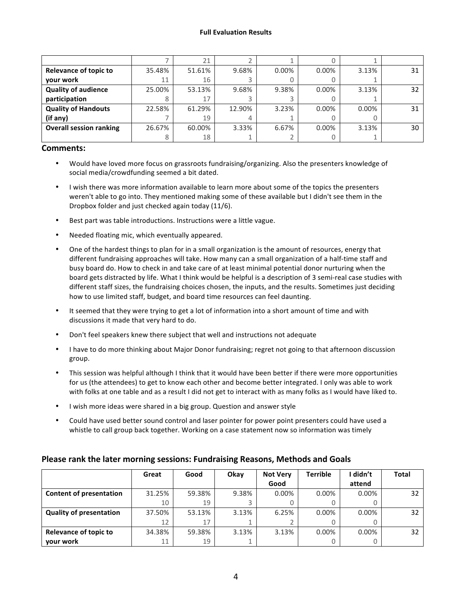#### **Full Evaluation Results**

|                                |        | 21     |        |          |          |       |    |
|--------------------------------|--------|--------|--------|----------|----------|-------|----|
| <b>Relevance of topic to</b>   | 35.48% | 51.61% | 9.68%  | $0.00\%$ | $0.00\%$ | 3.13% | 31 |
| your work                      | 11     | 16     |        |          |          |       |    |
| <b>Quality of audience</b>     | 25.00% | 53.13% | 9.68%  | 9.38%    | $0.00\%$ | 3.13% | 32 |
| participation                  |        | 17     |        |          |          |       |    |
| <b>Quality of Handouts</b>     | 22.58% | 61.29% | 12.90% | 3.23%    | $0.00\%$ | 0.00% | 31 |
| (if any)                       |        | 19     | 4      |          |          |       |    |
| <b>Overall session ranking</b> | 26.67% | 60.00% | 3.33%  | 6.67%    | $0.00\%$ | 3.13% | 30 |
|                                |        | 18     |        |          |          |       |    |

#### **Comments:**

- Would have loved more focus on grassroots fundraising/organizing. Also the presenters knowledge of social media/crowdfunding seemed a bit dated.
- I wish there was more information available to learn more about some of the topics the presenters weren't able to go into. They mentioned making some of these available but I didn't see them in the Dropbox folder and just checked again today (11/6).
- Best part was table introductions. Instructions were a little vague.
- Needed floating mic, which eventually appeared.
- One of the hardest things to plan for in a small organization is the amount of resources, energy that different fundraising approaches will take. How many can a small organization of a half-time staff and busy board do. How to check in and take care of at least minimal potential donor nurturing when the board gets distracted by life. What I think would be helpful is a description of 3 semi-real case studies with different staff sizes, the fundraising choices chosen, the inputs, and the results. Sometimes just deciding how to use limited staff, budget, and board time resources can feel daunting.
- It seemed that they were trying to get a lot of information into a short amount of time and with discussions it made that very hard to do.
- Don't feel speakers knew there subject that well and instructions not adequate
- I have to do more thinking about Major Donor fundraising; regret not going to that afternoon discussion group.
- This session was helpful although I think that it would have been better if there were more opportunities for us (the attendees) to get to know each other and become better integrated. I only was able to work with folks at one table and as a result I did not get to interact with as many folks as I would have liked to.
- I wish more ideas were shared in a big group. Question and answer style
- Could have used better sound control and laser pointer for power point presenters could have used a whistle to call group back together. Working on a case statement now so information was timely

|                                | Great  | Good   | Okay  | <b>Not Verv</b> | <b>Terrible</b> | l didn't | <b>Total</b> |
|--------------------------------|--------|--------|-------|-----------------|-----------------|----------|--------------|
|                                |        |        |       | Good            |                 | attend   |              |
| <b>Content of presentation</b> | 31.25% | 59.38% | 9.38% | $0.00\%$        | $0.00\%$        | $0.00\%$ | 32           |
|                                | 10     | 19     |       |                 |                 |          |              |
| <b>Quality of presentation</b> | 37.50% | 53.13% | 3.13% | 6.25%           | $0.00\%$        | $0.00\%$ | 32           |
|                                | 12     | 17     |       |                 |                 |          |              |
| Relevance of topic to          | 34.38% | 59.38% | 3.13% | 3.13%           | $0.00\%$        | $0.00\%$ | 32           |
| your work                      | 11     | 19     |       |                 |                 |          |              |

### **Please rank the later morning sessions: Fundraising Reasons, Methods and Goals**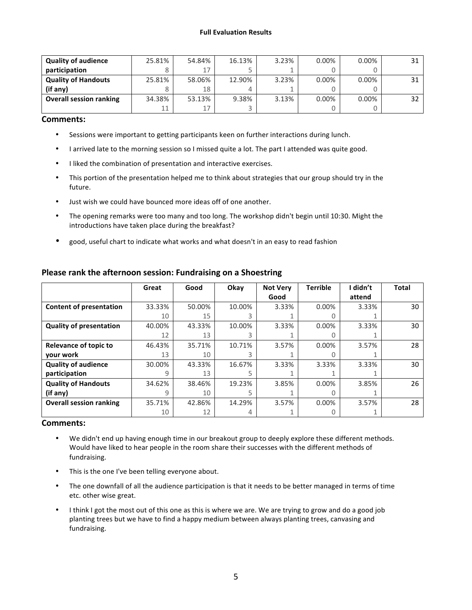#### **Full Evaluation Results**

| <b>Quality of audience</b>     | 25.81% | 54.84% | 16.13% | 3.23% | $0.00\%$ | $0.00\%$ | 31 |
|--------------------------------|--------|--------|--------|-------|----------|----------|----|
| participation                  |        | 17     |        |       |          |          |    |
| <b>Quality of Handouts</b>     | 25.81% | 58.06% | 12.90% | 3.23% | $0.00\%$ | $0.00\%$ | 31 |
| (if any)                       |        | 18     |        |       |          |          |    |
| <b>Overall session ranking</b> | 34.38% | 53.13% | 9.38%  | 3.13% | $0.00\%$ | $0.00\%$ | 32 |
|                                | 11     | 17     |        |       |          |          |    |

### **Comments:**

- Sessions were important to getting participants keen on further interactions during lunch.
- I arrived late to the morning session so I missed quite a lot. The part I attended was quite good.
- I liked the combination of presentation and interactive exercises.
- This portion of the presentation helped me to think about strategies that our group should try in the future.
- Just wish we could have bounced more ideas off of one another.
- The opening remarks were too many and too long. The workshop didn't begin until 10:30. Might the introductions have taken place during the breakfast?
- good, useful chart to indicate what works and what doesn't in an easy to read fashion

|                                | Great  | Good   | Okay   | <b>Not Verv</b> | <b>Terrible</b> | I didn't | <b>Total</b> |
|--------------------------------|--------|--------|--------|-----------------|-----------------|----------|--------------|
|                                |        |        |        | Good            |                 | attend   |              |
| <b>Content of presentation</b> | 33.33% | 50.00% | 10.00% | 3.33%           | $0.00\%$        | 3.33%    | 30           |
|                                | 10     | 15     |        |                 |                 |          |              |
| <b>Quality of presentation</b> | 40.00% | 43.33% | 10.00% | 3.33%           | 0.00%           | 3.33%    | 30           |
|                                | 12     | 13     |        |                 |                 |          |              |
| <b>Relevance of topic to</b>   | 46.43% | 35.71% | 10.71% | 3.57%           | 0.00%           | 3.57%    | 28           |
| your work                      | 13     | 10     |        |                 |                 |          |              |
| <b>Quality of audience</b>     | 30.00% | 43.33% | 16.67% | 3.33%           | 3.33%           | 3.33%    | 30           |
| participation                  | 9      | 13     |        |                 |                 |          |              |
| <b>Quality of Handouts</b>     | 34.62% | 38.46% | 19.23% | 3.85%           | 0.00%           | 3.85%    | 26           |
| (if any)                       | 9      | 10     |        |                 |                 |          |              |
| <b>Overall session ranking</b> | 35.71% | 42.86% | 14.29% | 3.57%           | 0.00%           | 3.57%    | 28           |
|                                | 10     | 12     |        |                 |                 |          |              |

## **Please rank the afternoon session: Fundraising on a Shoestring**

#### **Comments:**

- We didn't end up having enough time in our breakout group to deeply explore these different methods. Would have liked to hear people in the room share their successes with the different methods of fundraising.
- This is the one I've been telling everyone about.
- The one downfall of all the audience participation is that it needs to be better managed in terms of time etc. other wise great.
- I think I got the most out of this one as this is where we are. We are trying to grow and do a good job planting trees but we have to find a happy medium between always planting trees, canvasing and fundraising.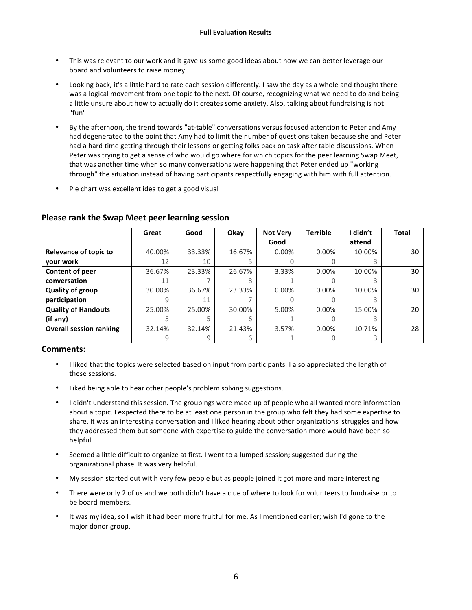- This was relevant to our work and it gave us some good ideas about how we can better leverage our board and volunteers to raise money.
- Looking back, it's a little hard to rate each session differently. I saw the day as a whole and thought there was a logical movement from one topic to the next. Of course, recognizing what we need to do and being a little unsure about how to actually do it creates some anxiety. Also, talking about fundraising is not "fun"
- By the afternoon, the trend towards "at-table" conversations versus focused attention to Peter and Amy had degenerated to the point that Amy had to limit the number of questions taken because she and Peter had a hard time getting through their lessons or getting folks back on task after table discussions. When Peter was trying to get a sense of who would go where for which topics for the peer learning Swap Meet, that was another time when so many conversations were happening that Peter ended up "working through" the situation instead of having participants respectfully engaging with him with full attention.
- Pie chart was excellent idea to get a good visual

|                                | Great  | Good   | Okay   | <b>Not Verv</b> | <b>Terrible</b> | didn't | <b>Total</b> |
|--------------------------------|--------|--------|--------|-----------------|-----------------|--------|--------------|
|                                |        |        |        | Good            |                 | attend |              |
| <b>Relevance of topic to</b>   | 40.00% | 33.33% | 16.67% | $0.00\%$        | $0.00\%$        | 10.00% | 30           |
| your work                      | 12     | 10     |        |                 |                 |        |              |
| Content of peer                | 36.67% | 23.33% | 26.67% | 3.33%           | $0.00\%$        | 10.00% | 30           |
| conversation                   | 11     |        |        |                 |                 |        |              |
| <b>Quality of group</b>        | 30.00% | 36.67% | 23.33% | 0.00%           | $0.00\%$        | 10.00% | 30           |
| participation                  | 9      | 11     |        |                 |                 |        |              |
| <b>Quality of Handouts</b>     | 25.00% | 25.00% | 30.00% | 5.00%           | 0.00%           | 15.00% | 20           |
| (if any)                       |        |        | 6      |                 |                 |        |              |
| <b>Overall session ranking</b> | 32.14% | 32.14% | 21.43% | 3.57%           | 0.00%           | 10.71% | 28           |
|                                | 9      |        |        |                 |                 |        |              |

### **Please rank the Swap Meet peer learning session**

### **Comments:**

- I liked that the topics were selected based on input from participants. I also appreciated the length of these sessions.
- Liked being able to hear other people's problem solving suggestions.
- I didn't understand this session. The groupings were made up of people who all wanted more information about a topic. I expected there to be at least one person in the group who felt they had some expertise to share. It was an interesting conversation and I liked hearing about other organizations' struggles and how they addressed them but someone with expertise to guide the conversation more would have been so helpful.
- Seemed a little difficult to organize at first. I went to a lumped session; suggested during the organizational phase. It was very helpful.
- My session started out wit h very few people but as people joined it got more and more interesting
- There were only 2 of us and we both didn't have a clue of where to look for volunteers to fundraise or to be board members.
- It was my idea, so I wish it had been more fruitful for me. As I mentioned earlier; wish I'd gone to the major donor group.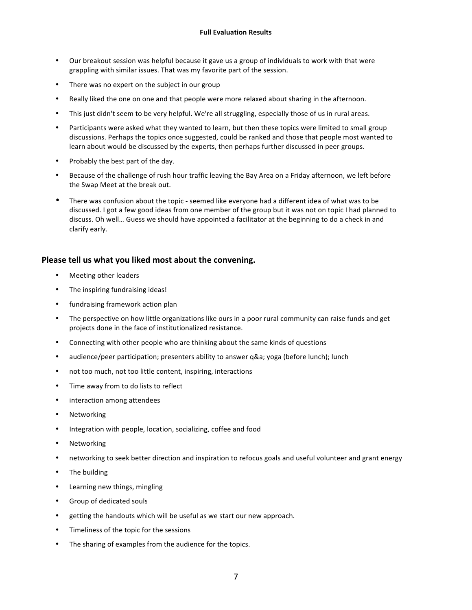- Our breakout session was helpful because it gave us a group of individuals to work with that were grappling with similar issues. That was my favorite part of the session.
- There was no expert on the subject in our group
- Really liked the one on one and that people were more relaxed about sharing in the afternoon.
- This just didn't seem to be very helpful. We're all struggling, especially those of us in rural areas.
- Participants were asked what they wanted to learn, but then these topics were limited to small group discussions. Perhaps the topics once suggested, could be ranked and those that people most wanted to learn about would be discussed by the experts, then perhaps further discussed in peer groups.
- Probably the best part of the day.
- Because of the challenge of rush hour traffic leaving the Bay Area on a Friday afternoon, we left before the Swap Meet at the break out.
- There was confusion about the topic seemed like everyone had a different idea of what was to be discussed. I got a few good ideas from one member of the group but it was not on topic I had planned to discuss. Oh well... Guess we should have appointed a facilitator at the beginning to do a check in and clarify early.

### **Please tell us what you liked most about the convening.**

- Meeting other leaders
- The inspiring fundraising ideas!
- fundraising framework action plan
- The perspective on how little organizations like ours in a poor rural community can raise funds and get projects done in the face of institutionalized resistance.
- Connecting with other people who are thinking about the same kinds of questions
- audience/peer participation; presenters ability to answer q&a; yoga (before lunch); lunch
- not too much, not too little content, inspiring, interactions
- Time away from to do lists to reflect
- interaction among attendees
- Networking
- Integration with people, location, socializing, coffee and food
- Networking
- networking to seek better direction and inspiration to refocus goals and useful volunteer and grant energy
- The building
- Learning new things, mingling
- Group of dedicated souls
- getting the handouts which will be useful as we start our new approach.
- Timeliness of the topic for the sessions
- The sharing of examples from the audience for the topics.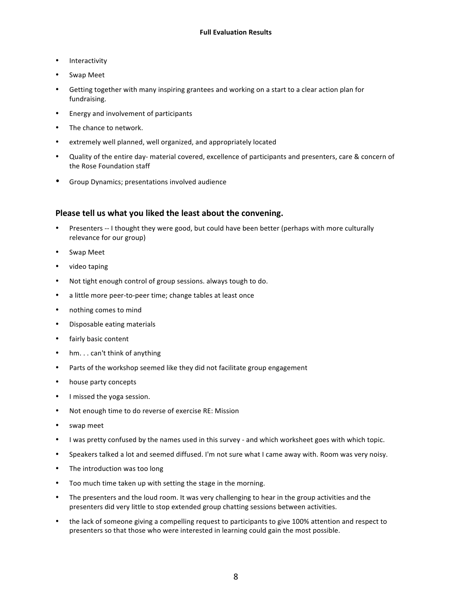- Interactivity
- Swap Meet
- Getting together with many inspiring grantees and working on a start to a clear action plan for fundraising.
- Energy and involvement of participants
- The chance to network.
- extremely well planned, well organized, and appropriately located
- Quality of the entire day- material covered, excellence of participants and presenters, care & concern of the Rose Foundation staff
- Group Dynamics; presentations involved audience

### **Please tell us what you liked the least about the convening.**

- Presenters -- I thought they were good, but could have been better (perhaps with more culturally relevance for our group)
- Swap Meet
- video taping
- Not tight enough control of group sessions. always tough to do.
- a little more peer-to-peer time; change tables at least once
- nothing comes to mind
- Disposable eating materials
- fairly basic content
- hm... can't think of anything
- Parts of the workshop seemed like they did not facilitate group engagement
- house party concepts
- I missed the yoga session.
- Not enough time to do reverse of exercise RE: Mission
- swap meet
- I was pretty confused by the names used in this survey and which worksheet goes with which topic.
- Speakers talked a lot and seemed diffused. I'm not sure what I came away with. Room was very noisy.
- The introduction was too long
- Too much time taken up with setting the stage in the morning.
- The presenters and the loud room. It was very challenging to hear in the group activities and the presenters did very little to stop extended group chatting sessions between activities.
- the lack of someone giving a compelling request to participants to give 100% attention and respect to presenters so that those who were interested in learning could gain the most possible.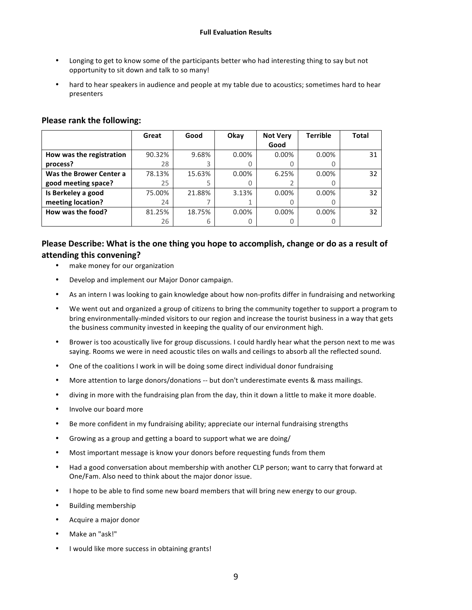- Longing to get to know some of the participants better who had interesting thing to say but not opportunity to sit down and talk to so many!
- hard to hear speakers in audience and people at my table due to acoustics; sometimes hard to hear presenters

|                          | Great  | Good   | Okay  | <b>Not Very</b> | Terrible         | <b>Total</b> |
|--------------------------|--------|--------|-------|-----------------|------------------|--------------|
|                          |        |        |       | Good            |                  |              |
| How was the registration | 90.32% | 9.68%  | 0.00% | 0.00%           | $0.00\%$         | 31           |
| process?                 | 28     | 3      |       |                 | O                |              |
| Was the Brower Center a  | 78.13% | 15.63% | 0.00% | 6.25%           | $0.00\%$         | 32           |
| good meeting space?      | 25     |        |       |                 | $\left( \right)$ |              |
| Is Berkeley a good       | 75.00% | 21.88% | 3.13% | 0.00%           | $0.00\%$         | 32           |
| meeting location?        | 24     |        |       |                 | O                |              |
| How was the food?        | 81.25% | 18.75% | 0.00% | $0.00\%$        | 0.00%            | 32           |
|                          | 26     | 6      |       |                 | O                |              |

### **Please rank the following:**

## **Please Describe: What is the one thing you hope to accomplish, change or do as a result of attending this convening?**

- make money for our organization
- Develop and implement our Major Donor campaign.
- As an intern I was looking to gain knowledge about how non-profits differ in fundraising and networking
- We went out and organized a group of citizens to bring the community together to support a program to bring environmentally-minded visitors to our region and increase the tourist business in a way that gets the business community invested in keeping the quality of our environment high.
- Brower is too acoustically live for group discussions. I could hardly hear what the person next to me was saying. Rooms we were in need acoustic tiles on walls and ceilings to absorb all the reflected sound.
- One of the coalitions I work in will be doing some direct individual donor fundraising
- More attention to large donors/donations -- but don't underestimate events & mass mailings.
- diving in more with the fundraising plan from the day, thin it down a little to make it more doable.
- Involve our board more
- Be more confident in my fundraising ability; appreciate our internal fundraising strengths
- Growing as a group and getting a board to support what we are doing/
- Most important message is know your donors before requesting funds from them
- Had a good conversation about membership with another CLP person; want to carry that forward at One/Fam. Also need to think about the major donor issue.
- I hope to be able to find some new board members that will bring new energy to our group.
- Building membership
- Acquire a major donor
- Make an "ask!"
- I would like more success in obtaining grants!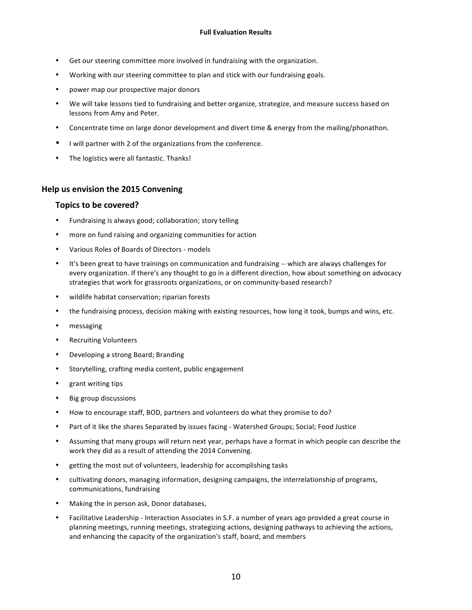- Get our steering committee more involved in fundraising with the organization.
- Working with our steering committee to plan and stick with our fundraising goals.
- power map our prospective major donors
- We will take lessons tied to fundraising and better organize, strategize, and measure success based on lessons from Amy and Peter.
- Concentrate time on large donor development and divert time & energy from the mailing/phonathon.
- I will partner with 2 of the organizations from the conference.
- The logistics were all fantastic. Thanks!

#### **Help us envision the 2015 Convening**

#### Topics to be covered?

- Fundraising is always good; collaboration; story telling
- more on fund raising and organizing communities for action
- Various Roles of Boards of Directors models
- It's been great to have trainings on communication and fundraising -- which are always challenges for every organization. If there's any thought to go in a different direction, how about something on advocacy strategies that work for grassroots organizations, or on community-based research?
- wildlife habitat conservation; riparian forests
- the fundraising process, decision making with existing resources, how long it took, bumps and wins, etc.
- messaging
- **Recruiting Volunteers**
- Developing a strong Board; Branding
- Storytelling, crafting media content, public engagement
- grant writing tips
- Big group discussions
- How to encourage staff, BOD, partners and volunteers do what they promise to do?
- Part of it like the shares Separated by issues facing Watershed Groups; Social; Food Justice
- Assuming that many groups will return next year, perhaps have a format in which people can describe the work they did as a result of attending the 2014 Convening.
- getting the most out of volunteers, leadership for accomplishing tasks
- cultivating donors, managing information, designing campaigns, the interrelationship of programs, communications, fundraising
- Making the in person ask, Donor databases,
- Facilitative Leadership Interaction Associates in S.F. a number of years ago provided a great course in planning meetings, running meetings, strategizing actions, designing pathways to achieving the actions, and enhancing the capacity of the organization's staff, board, and members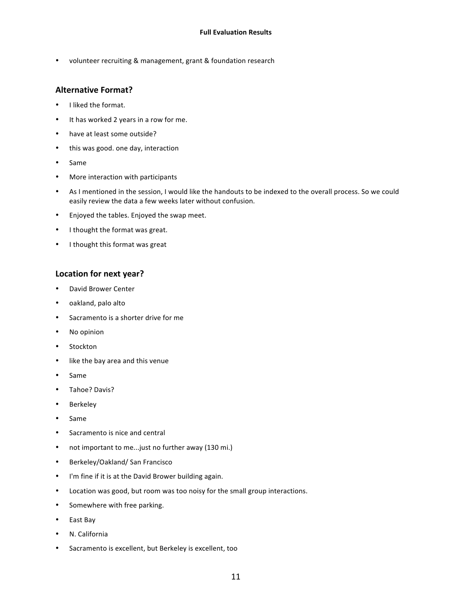• volunteer recruiting & management, grant & foundation research

### **Alternative Format?**

- I liked the format.
- It has worked 2 years in a row for me.
- have at least some outside?
- this was good. one day, interaction
- Same
- More interaction with participants
- As I mentioned in the session, I would like the handouts to be indexed to the overall process. So we could easily review the data a few weeks later without confusion.
- Enjoyed the tables. Enjoyed the swap meet.
- I thought the format was great.
- I thought this format was great

### Location for next year?

- David Brower Center
- oakland, palo alto
- Sacramento is a shorter drive for me
- No opinion
- Stockton
- like the bay area and this venue
- Same
- Tahoe? Davis?
- Berkeley
- Same
- Sacramento is nice and central
- not important to me...just no further away (130 mi.)
- Berkeley/Oakland/ San Francisco
- I'm fine if it is at the David Brower building again.
- Location was good, but room was too noisy for the small group interactions.
- Somewhere with free parking.
- East Bay
- N. California
- Sacramento is excellent, but Berkeley is excellent, too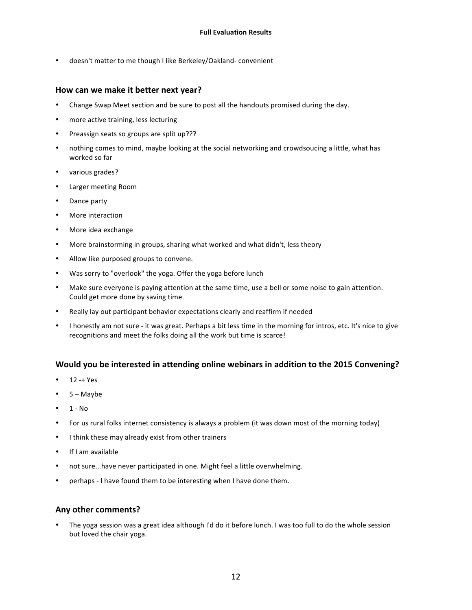doesn't matter to me though I like Berkeley/Oakland- convenient

#### How can we make it better next year?

- Change Swap Meet section and be sure to post all the handouts promised during the day.
- more active training, less lecturing
- Preassign seats so groups are split up???
- nothing comes to mind, maybe looking at the social networking and crowdsoucing a little, what has worked so far
- various grades?
- Larger meeting Room
- Dance party
- More interaction
- More idea exchange
- More brainstorming in groups, sharing what worked and what didn't, less theory
- Allow like purposed groups to convene.
- Was sorry to "overlook" the yoga. Offer the yoga before lunch
- Make sure everyone is paying attention at the same time, use a bell or some noise to gain attention. Could get more done by saving time.
- Really lay out participant behavior expectations clearly and reaffirm if needed
- I honestly am not sure it was great. Perhaps a bit less time in the morning for intros, etc. It's nice to give recognitions and meet the folks doing all the work but time is scarce!

### **Would you be interested in attending online webinars in addition to the 2015 Convening?**

- $12 + Yes$
- $5 -$ Maybe
- $\bullet$  1 No
- For us rural folks internet consistency is always a problem (it was down most of the morning today)
- I think these may already exist from other trainers
- If I am available
- not sure...have never participated in one. Might feel a little overwhelming.
- perhaps I have found them to be interesting when I have done them.

#### **Any other comments?**

The yoga session was a great idea although I'd do it before lunch. I was too full to do the whole session but loved the chair yoga.